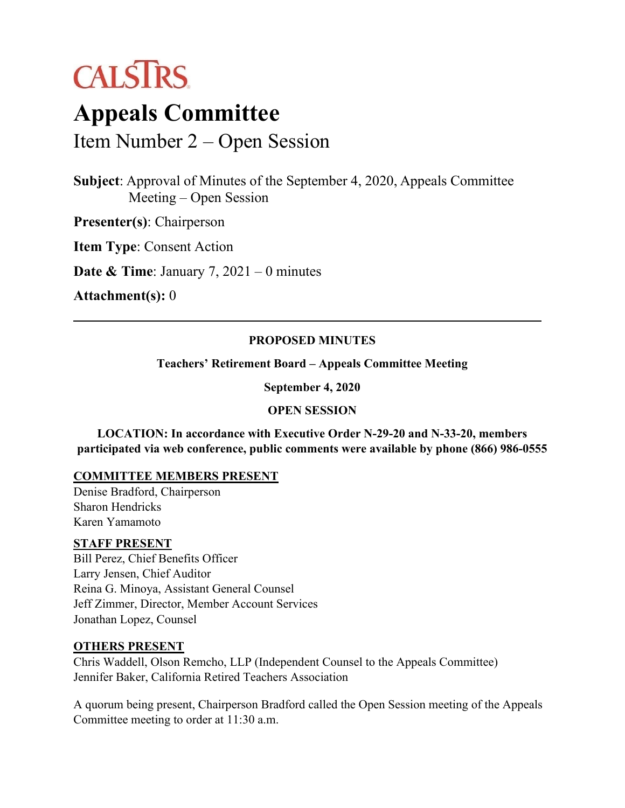

# **Appeals Committee**

Item Number 2 – Open Session

**Subject**: Approval of Minutes of the September 4, 2020, Appeals Committee Meeting – Open Session

**Presenter(s)**: Chairperson

**Item Type**: Consent Action

**Date & Time**: January 7, 2021 – 0 minutes

**Attachment(s):** 0

# **PROPOSED MINUTES**

**Teachers' Retirement Board – Appeals Committee Meeting**

**September 4, 2020** 

#### **OPEN SESSION**

**LOCATION: In accordance with Executive Order N-29-20 and N-33-20, members participated via web conference, public comments were available by phone (866) 986-0555** 

# **COMMITTEE MEMBERS PRESENT**

Denise Bradford, Chairperson Sharon Hendricks Karen Yamamoto

#### **STAFF PRESENT**

Bill Perez, Chief Benefits Officer Larry Jensen, Chief Auditor Reina G. Minoya, Assistant General Counsel Jeff Zimmer, Director, Member Account Services Jonathan Lopez, Counsel

# **OTHERS PRESENT**

Chris Waddell, Olson Remcho, LLP (Independent Counsel to the Appeals Committee) Jennifer Baker, California Retired Teachers Association

A quorum being present, Chairperson Bradford called the Open Session meeting of the Appeals Committee meeting to order at 11:30 a.m.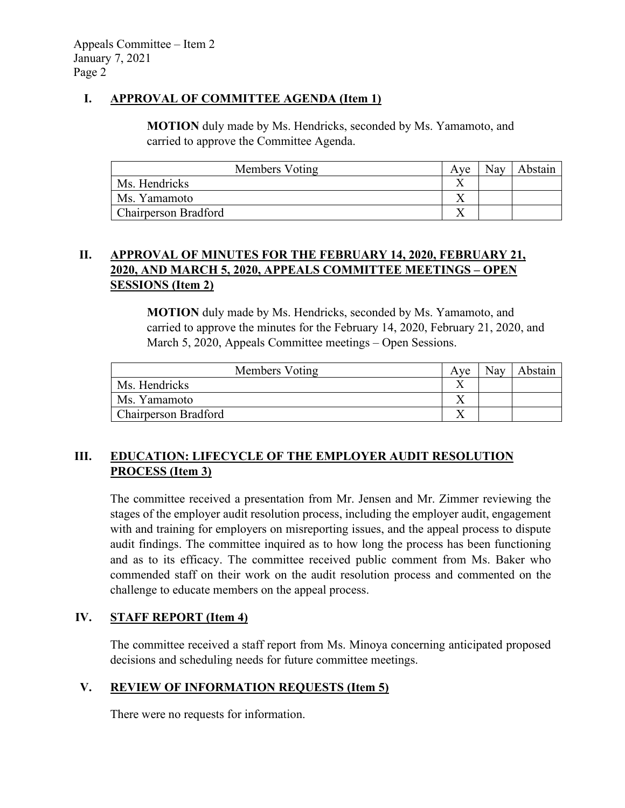# **I. APPROVAL OF COMMITTEE AGENDA (Item 1)**

**MOTION** duly made by Ms. Hendricks, seconded by Ms. Yamamoto, and carried to approve the Committee Agenda.

| Members Voting              | Ave | <b>Nay</b> | Abstain |
|-----------------------------|-----|------------|---------|
| Ms. Hendricks               |     |            |         |
| Ms. Yamamoto                |     |            |         |
| <b>Chairperson Bradford</b> |     |            |         |

# **II. APPROVAL OF MINUTES FOR THE FEBRUARY 14, 2020, FEBRUARY 21, 2020, AND MARCH 5, 2020, APPEALS COMMITTEE MEETINGS – OPEN SESSIONS (Item 2)**

**MOTION** duly made by Ms. Hendricks, seconded by Ms. Yamamoto, and carried to approve the minutes for the February 14, 2020, February 21, 2020, and March 5, 2020, Appeals Committee meetings – Open Sessions.

| Members Voting       | Ave | Nay | Abstain |
|----------------------|-----|-----|---------|
| Ms. Hendricks        |     |     |         |
| Ms. Yamamoto         |     |     |         |
| Chairperson Bradford |     |     |         |

# **III. EDUCATION: LIFECYCLE OF THE EMPLOYER AUDIT RESOLUTION PROCESS (Item 3)**

The committee received a presentation from Mr. Jensen and Mr. Zimmer reviewing the stages of the employer audit resolution process, including the employer audit, engagement with and training for employers on misreporting issues, and the appeal process to dispute audit findings. The committee inquired as to how long the process has been functioning and as to its efficacy. The committee received public comment from Ms. Baker who commended staff on their work on the audit resolution process and commented on the challenge to educate members on the appeal process.

# **IV. STAFF REPORT (Item 4)**

The committee received a staff report from Ms. Minoya concerning anticipated proposed decisions and scheduling needs for future committee meetings.

# **V. REVIEW OF INFORMATION REQUESTS (Item 5)**

There were no requests for information.